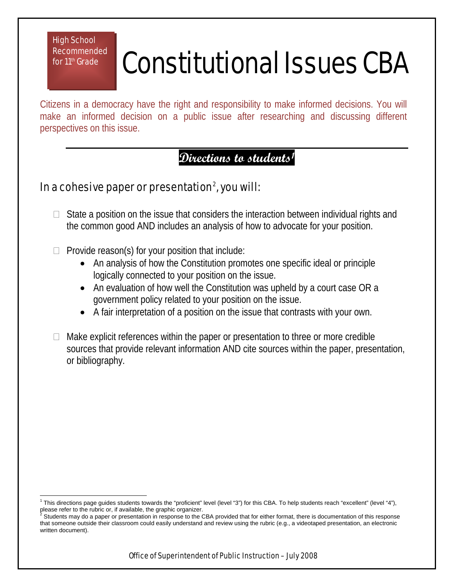High School Recommended for 11<sup>th</sup> Grade

## Constitutional Issues CBA

Citizens in a democracy have the right and responsibility to make informed decisions. You will make an informed decision on a public issue after researching and discussing different perspectives on this issue.

## **Directions to students[1](#page-0-0)**

## In a cohesive paper or presentation $^2$  $^2$ , you will:

- $\Box$  State a position on the issue that considers the interaction between individual rights and the common good AND includes an analysis of how to advocate for your position.
- $\Box$  Provide reason(s) for your position that include:
	- An analysis of how the Constitution promotes one specific ideal or principle logically connected to your position on the issue.
	- An evaluation of how well the Constitution was upheld by a court case OR a government policy related to your position on the issue.
	- A fair interpretation of a position on the issue that contrasts with your own.
- $\Box$  Make explicit references within the paper or presentation to three or more credible sources that provide relevant information AND cite sources within the paper, presentation, or bibliography.

<span id="page-0-0"></span> <sup>1</sup> This directions page guides students towards the "proficient" level (level "3") for this CBA. To help students reach "excellent" (level "4"), please refer to the rubric or, if available, the graphic organizer.

<span id="page-0-1"></span>Students may do a paper or presentation in response to the CBA provided that for either format, there is documentation of this response that someone outside their classroom could easily understand and review using the rubric (e.g., a videotaped presentation, an electronic written document).